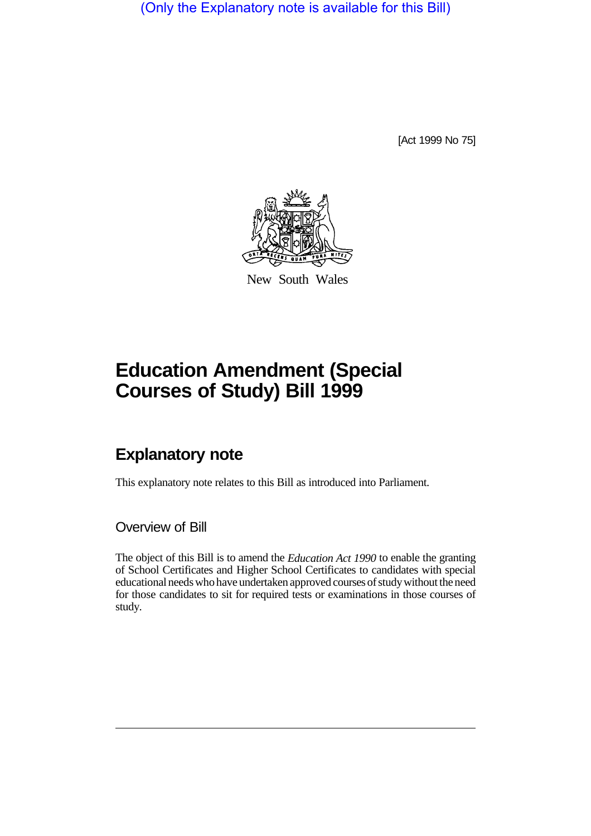(Only the Explanatory note is available for this Bill)

[Act 1999 No 75]



New South Wales

## **Education Amendment (Special Courses of Study) Bill 1999**

## **Explanatory note**

This explanatory note relates to this Bill as introduced into Parliament.

Overview of Bill

The object of this Bill is to amend the *Education Act 1990* to enable the granting of School Certificates and Higher School Certificates to candidates with special educational needs who have undertaken approved courses of study without the need for those candidates to sit for required tests or examinations in those courses of study.